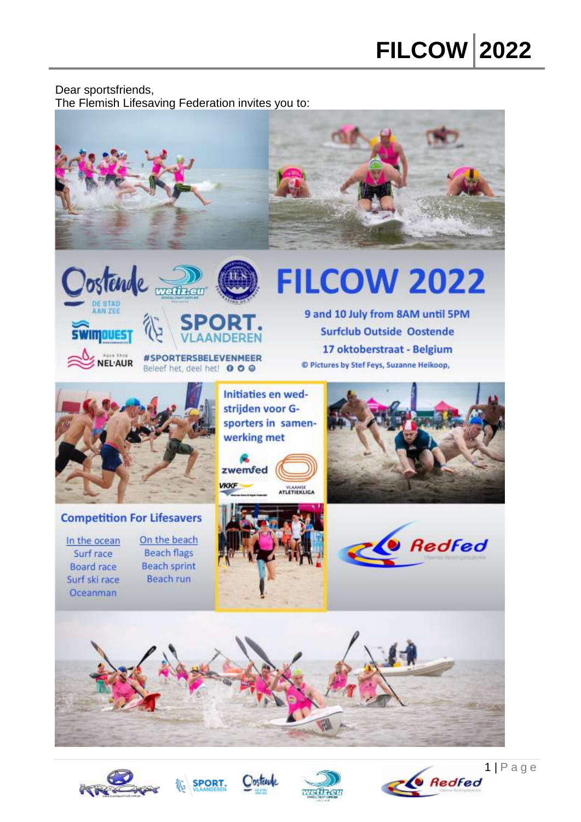#### Dear sportsfriends, The Flemish Lifesaving Federation invites you to:









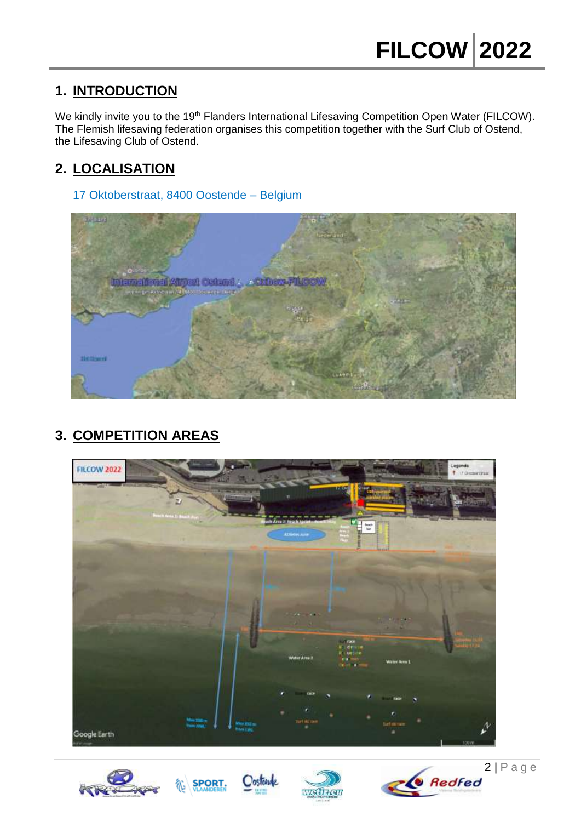# **1. INTRODUCTION**

We kindly invite you to the 19<sup>th</sup> Flanders International Lifesaving Competition Open Water (FILCOW). The Flemish lifesaving federation organises this competition together with the Surf Club of Ostend, the Lifesaving Club of Ostend.

# **2. LOCALISATION**

17 Oktoberstraat, 8400 Oostende – Belgium



# **3. COMPETITION AREAS**









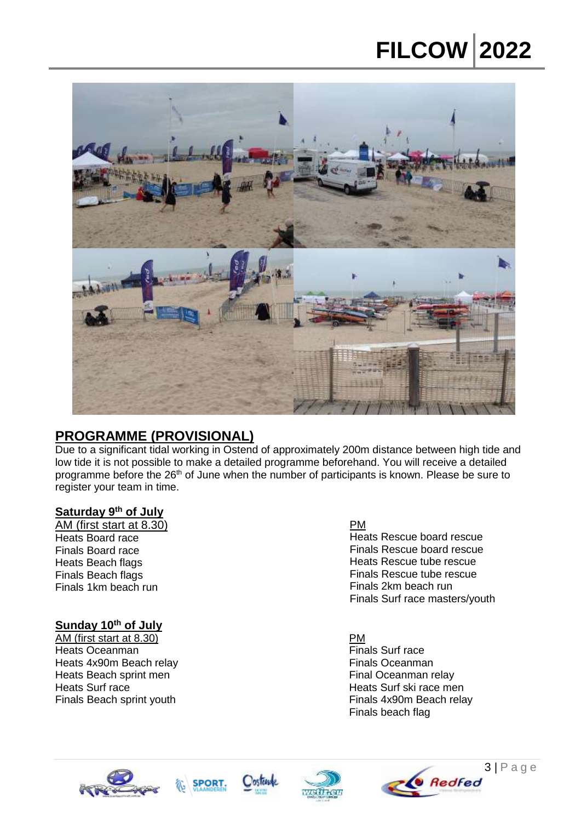# **FILCOW 2022**



## **PROGRAMME (PROVISIONAL)**

Due to a significant tidal working in Ostend of approximately 200m distance between high tide and low tide it is not possible to make a detailed programme beforehand. You will receive a detailed programme before the 26<sup>th</sup> of June when the number of participants is known. Please be sure to register your team in time.

#### **Saturday 9 th of July**

AM (first start at 8.30) Heats Board race Finals Board race Heats Beach flags Finals Beach flags Finals 1km beach run

## **Sunday 10th of July**

AM (first start at 8.30) Heats Oceanman Heats 4x90m Beach relay Heats Beach sprint men Heats Surf race Finals Beach sprint youth

#### PM

Heats Rescue board rescue Finals Rescue board rescue Heats Rescue tube rescue Finals Rescue tube rescue Finals 2km beach run Finals Surf race masters/youth

PM Finals Surf race Finals Oceanman Final Oceanman relay Heats Surf ski race men Finals 4x90m Beach relay Finals beach flag







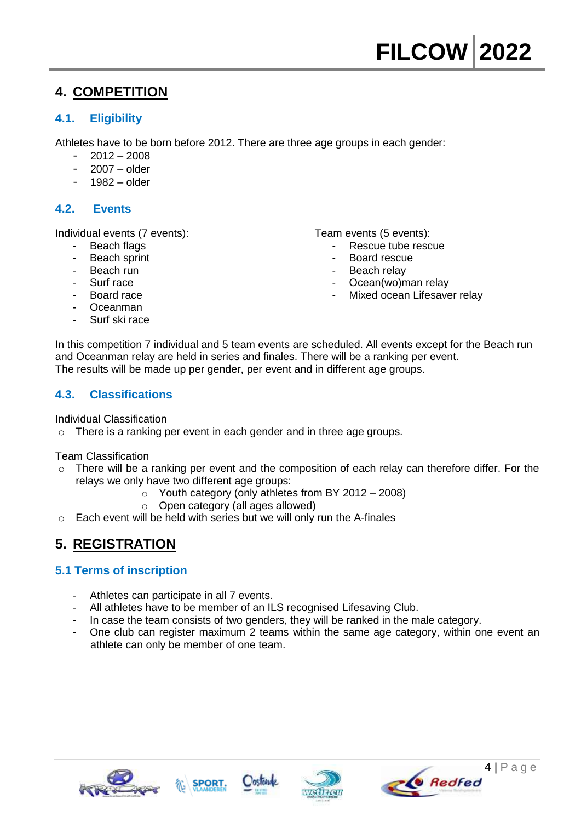# **4. COMPETITION**

## **4.1. Eligibility**

Athletes have to be born before 2012. There are three age groups in each gender:

- 2012 2008
- $2007 -$ older
- 1982 older

## **4.2. Events**

Individual events (7 events):

- Beach flags
- Beach sprint
- Beach run
- Surf race
- Board race
- Oceanman
- Surf ski race

Team events (5 events):

- Rescue tube rescue
- Board rescue
- Beach relay
- Ocean(wo)man relay
- Mixed ocean Lifesaver relay

In this competition 7 individual and 5 team events are scheduled. All events except for the Beach run and Oceanman relay are held in series and finales. There will be a ranking per event. The results will be made up per gender, per event and in different age groups.

## **4.3. Classifications**

Individual Classification

o There is a ranking per event in each gender and in three age groups.

Team Classification

- $\circ$  There will be a ranking per event and the composition of each relay can therefore differ. For the relays we only have two different age groups:
	- o Youth category (only athletes from BY 2012 2008)
	- o Open category (all ages allowed)
- o Each event will be held with series but we will only run the A-finales

# **5. REGISTRATION**

## **5.1 Terms of inscription**

- Athletes can participate in all 7 events.
- All athletes have to be member of an ILS recognised Lifesaving Club.
- In case the team consists of two genders, they will be ranked in the male category.
- One club can register maximum 2 teams within the same age category, within one event an athlete can only be member of one team.







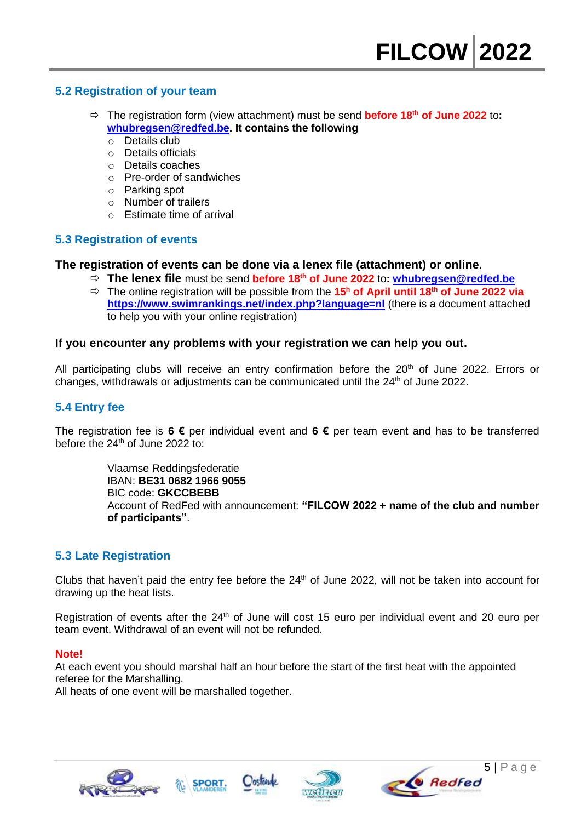#### **5.2 Registration of your team**

- **<sup>☆</sup>** The registration form (view attachment) must be send **before 18<sup>th</sup> of June 2022** to: **[whubregsen@redfed.be.](mailto:whubregsen@redfed.be) It contains the following** 
	- o Details club
	- o Details officials
	- o Details coaches
	- o Pre-order of sandwiches
	- o Parking spot
	- o Number of trailers
	- $\circ$  Estimate time of arrival

## **5.3 Registration of events**

#### **The registration of events can be done via a lenex file (attachment) or online.**

- **The lenex file** must be send **before 18 th of June 2022** to**: [whubregsen@redfed.be](mailto:whubregsen@redfed.be)**
- The online registration will be possible from the **15 <sup>h</sup> of April until 18th of June 2022 via <https://www.swimrankings.net/index.php?language=nl>** (there is a document attached to help you with your online registration)

#### **If you encounter any problems with your registration we can help you out.**

All participating clubs will receive an entry confirmation before the  $20^{th}$  of June 2022. Errors or changes, withdrawals or adjustments can be communicated until the  $24<sup>th</sup>$  of June 2022.

#### **5.4 Entry fee**

The registration fee is **6 €** per individual event and **6 €** per team event and has to be transferred before the 24<sup>th</sup> of June 2022 to:

> Vlaamse Reddingsfederatie IBAN: **BE31 0682 1966 9055**  BIC code: **GKCCBEBB** Account of RedFed with announcement: **"FILCOW 2022 + name of the club and number of participants"**.

#### **5.3 Late Registration**

Clubs that haven't paid the entry fee before the  $24<sup>th</sup>$  of June 2022, will not be taken into account for drawing up the heat lists.

Registration of events after the 24<sup>th</sup> of June will cost 15 euro per individual event and 20 euro per team event. Withdrawal of an event will not be refunded.

#### **Note!**

At each event you should marshal half an hour before the start of the first heat with the appointed referee for the Marshalling.

All heats of one event will be marshalled together.







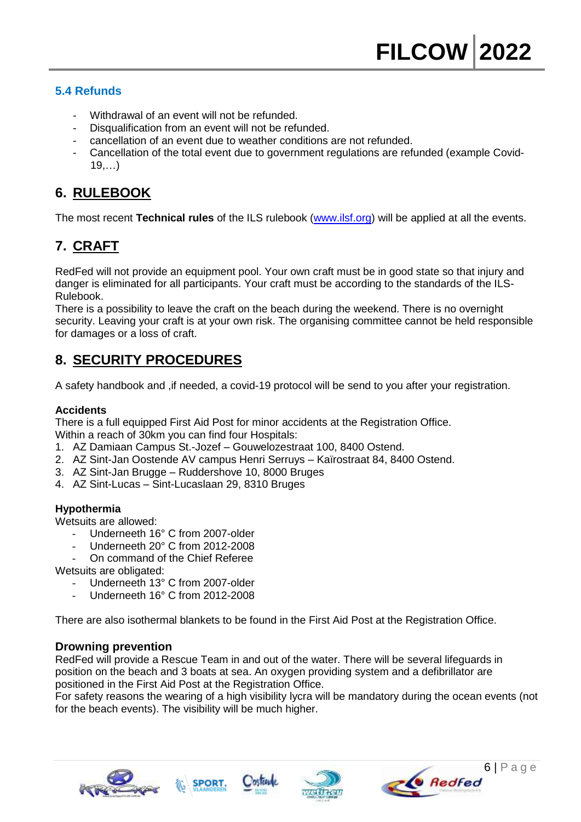## **5.4 Refunds**

- Withdrawal of an event will not be refunded.
- Disqualification from an event will not be refunded.
- cancellation of an event due to weather conditions are not refunded.
- Cancellation of the total event due to government regulations are refunded (example Covid-19,…)

# **6. RULEBOOK**

The most recent **Technical rules** of the ILS rulebook [\(www.ilsf.org\)](http://www.ilsf.org/) will be applied at all the events.

# **7. CRAFT**

RedFed will not provide an equipment pool. Your own craft must be in good state so that injury and danger is eliminated for all participants. Your craft must be according to the standards of the ILS-Rulebook.

There is a possibility to leave the craft on the beach during the weekend. There is no overnight security. Leaving your craft is at your own risk. The organising committee cannot be held responsible for damages or a loss of craft.

## **8. SECURITY PROCEDURES**

A safety handbook and ,if needed, a covid-19 protocol will be send to you after your registration.

#### **Accidents**

There is a full equipped First Aid Post for minor accidents at the Registration Office. Within a reach of 30km you can find four Hospitals:

- 1. [AZ Damiaan Campus St.-Jozef](http://www.azdamiaan.be/) Gouwelozestraat 100, 8400 Ostend.
- 2. [AZ Sint-Jan Oostende AV campus Henri Serruys](http://maps.google.be/maps/place?cid=9108106474856349378&q=ziekenhuis+oostende&hl=nl&gl=be&ved=0CFcQ-gswAQ&sa=X&ei=781xT5WBMc29OZTnhZcG) Kaïrostraat 84, 8400 Ostend.
- 3. AZ Sint-Jan Brugge Ruddershove 10, 8000 Bruges
- 4. AZ Sint-Lucas Sint-Lucaslaan 29, 8310 Bruges

#### **Hypothermia**

Wetsuits are allowed:

- Underneeth 16° C from 2007-older
- Underneeth 20° C from 2012-2008
- On command of the Chief Referee
- Wetsuits are obligated:
	- Underneeth 13° C from 2007-older
	- Underneeth 16° C from 2012-2008

There are also isothermal blankets to be found in the First Aid Post at the Registration Office.

#### **Drowning prevention**

RedFed will provide a Rescue Team in and out of the water. There will be several lifeguards in position on the beach and 3 boats at sea. An oxygen providing system and a defibrillator are positioned in the First Aid Post at the Registration Office.

For safety reasons the wearing of a high visibility lycra will be mandatory during the ocean events (not for the beach events). The visibility will be much higher.







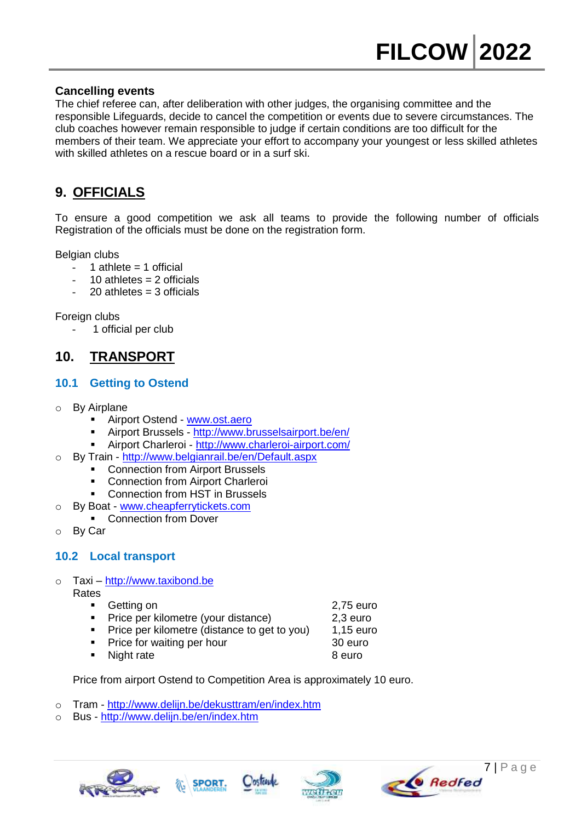## **Cancelling events**

The chief referee can, after deliberation with other judges, the organising committee and the responsible Lifeguards, decide to cancel the competition or events due to severe circumstances. The club coaches however remain responsible to judge if certain conditions are too difficult for the members of their team. We appreciate your effort to accompany your youngest or less skilled athletes with skilled athletes on a rescue board or in a surf ski.

# **9. OFFICIALS**

To ensure a good competition we ask all teams to provide the following number of officials Registration of the officials must be done on the registration form.

Belgian clubs

- 1 athlete  $= 1$  official
- $10$  athletes = 2 officials
- $20$  athletes = 3 officials

Foreign clubs

1 official per club

# **10. TRANSPORT**

## **10.1 Getting to Ostend**

- o By Airplane
	- Airport Ostend [www.ost.aero](http://www.ost.aero/)
	- Airport Brussels <http://www.brusselsairport.be/en/>
	- Airport Charleroi <http://www.charleroi-airport.com/>
- o By Train <http://www.belgianrail.be/en/Default.aspx>
	- Connection from Airport Brussels
	- Connection from Airport Charleroi
	- Connection from HST in Brussels
- o By Boat [www.cheapferrytickets.com](http://www.cheapferrytickets.com/)
	- Connection from Dover
- By Car

## **10.2 Local transport**

- o Taxi [http://www.taxibond.be](http://www.taxibond.be/)
	- Rates
		- Getting on **2.75 euro**
		- Price per kilometre (your distance) 2,3 euro<br>Price per kilometre (distance to get to you) 1.15 euro
		- Price per kilometre (distance to get to you) 1,15 euro

**SPORT** 

- Price for waiting per hour 30 euro
- Night rate 8 euro

Price from airport Ostend to Competition Area is approximately 10 euro.

- o Tram <http://www.delijn.be/dekusttram/en/index.htm>
- o Bus <http://www.delijn.be/en/index.htm>





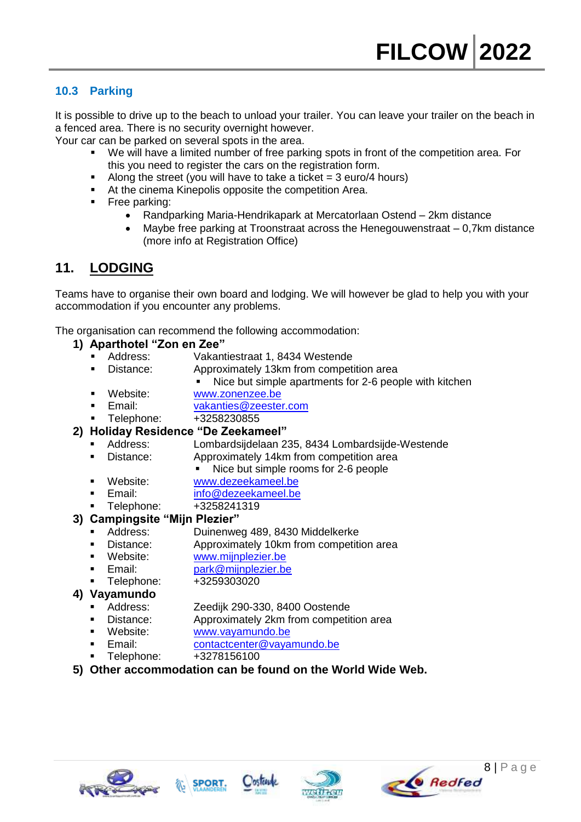## **10.3 Parking**

It is possible to drive up to the beach to unload your trailer. You can leave your trailer on the beach in a fenced area. There is no security overnight however.

Your car can be parked on several spots in the area.

- We will have a limited number of free parking spots in front of the competition area. For this you need to register the cars on the registration form.
- Along the street (you will have to take a ticket  $= 3$  euro/4 hours)
- At the cinema Kinepolis opposite the competition Area.
- **Free parking:** 
	- Randparking Maria-Hendrikapark at Mercatorlaan Ostend 2km distance
	- Maybe free parking at Troonstraat across the Henegouwenstraat 0,7km distance (more info at Registration Office)

## **11. LODGING**

Teams have to organise their own board and lodging. We will however be glad to help you with your accommodation if you encounter any problems.

The organisation can recommend the following accommodation:

#### **1) Aparthotel "Zon en Zee"**

- Address: Vakantiestraat 1, 8434 Westende
	- Distance: Approximately 13km from competition area
		- Nice but simple apartments for 2-6 people with kitchen
- Website: [www.zonenzee.be](http://www.zonenzee.be/)
- Email: [vakanties@zeester.com](mailto:vakanties@zeester.com)
- Telephone: +3258230855

#### **2) Holiday Residence "De Zeekameel"**

- Address: Lombardsijdelaan 235, 8434 Lombardsijde-Westende
- Distance: Approximately 14km from competition area
	- Nice but simple rooms for 2-6 people
- Website: [www.dezeekameel.be](http://www.dezeekameel.be/)
- Email: [info@dezeekameel.be](mailto:info@dezeekameel.be)
- Telephone: +3258241319

#### **3) Campingsite "Mijn Plezier"**

- Address: Duinenweg 489, 8430 Middelkerke
- Distance: Approximately 10km from competition area
- Website: [www.mijnplezier.be](http://www.mijnplezier.be/)
- Email: [park@mijnplezier.be](mailto:park@mijnplezier.be)
- Telephone: +3259303020

#### **4) Vayamundo**

- Address: Zeedijk 290-330, 8400 Oostende
- Distance: Approximately 2km from competition area
- Website: www.vayamundo.be
- Email: [contactcenter@vayamundo.be](mailto:contactcenter@vayamundo.be)
- Telephone: +3278156100
- **5) Other accommodation can be found on the World Wide Web.**